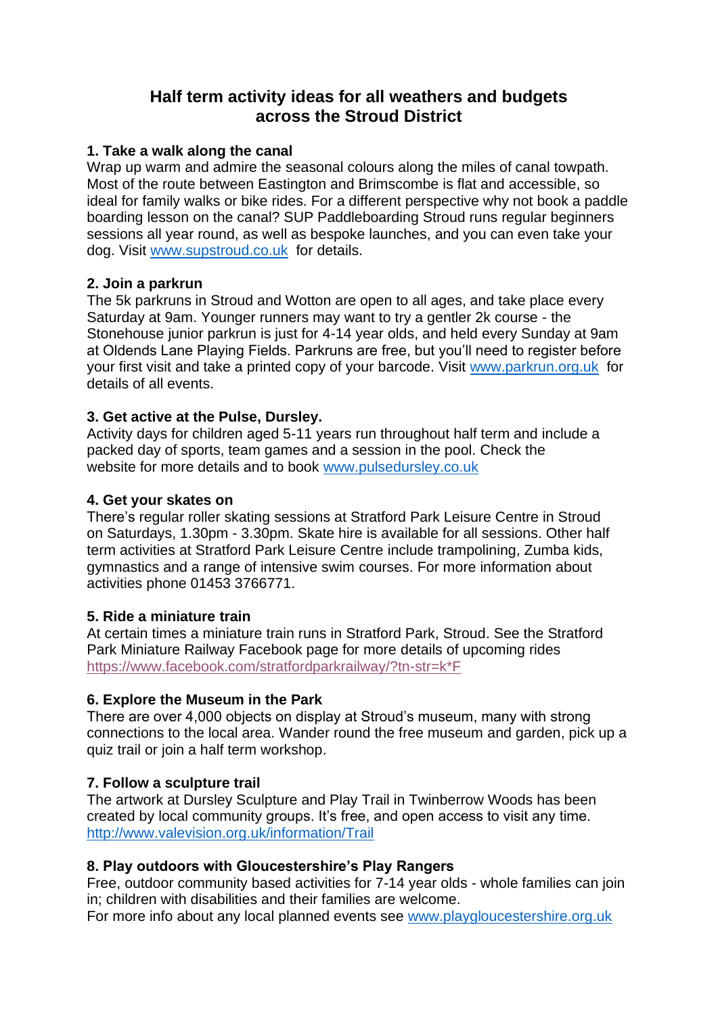# **Half term activity ideas for all weathers and budgets across the Stroud District**

### **1. Take a walk along the canal**

Wrap up warm and admire the seasonal colours along the miles of canal towpath. Most of the route between Eastington and Brimscombe is flat and accessible, so ideal for family walks or bike rides. For a different perspective why not book a paddle boarding lesson on the canal? SUP Paddleboarding Stroud runs regular beginners sessions all year round, as well as bespoke launches, and you can even take your dog. Visit [www.supstroud.co.uk](http://www.supstroud.co.uk/) for details.

# **2. Join a parkrun**

The 5k parkruns in Stroud and Wotton are open to all ages, and take place every Saturday at 9am. Younger runners may want to try a gentler 2k course - the Stonehouse junior parkrun is just for 4-14 year olds, and held every Sunday at 9am at Oldends Lane Playing Fields. Parkruns are free, but you'll need to register before your first visit and take a printed copy of your barcode. Visit [www.parkrun.org.uk](http://www.parkrun.org.uk/) for details of all events.

# **3. Get active at the Pulse, Dursley.**

Activity days for children aged 5-11 years run throughout half term and include a packed day of sports, team games and a session in the pool. Check the website for more details and to book [www.pulsedursley.co.uk](http://www.pulsedursley.co.uk/)

# **4. Get your skates on**

There's regular roller skating sessions at Stratford Park Leisure Centre in Stroud on Saturdays, 1.30pm - 3.30pm. Skate hire is available for all sessions. Other half term activities at Stratford Park Leisure Centre include trampolining, Zumba kids, gymnastics and a range of intensive swim courses. For more information about activities phone 01453 3766771.

# **5. Ride a miniature train**

At certain times a miniature train runs in Stratford Park, Stroud. See the Stratford Park Miniature Railway Facebook page for more details of upcoming rides [https://www.facebook.com/stratfordparkrailway/?tn-str=k\\*F](https://www.facebook.com/stratfordparkrailway/?tn-str=k*F)

# **6. Explore the Museum in the Park**

There are over 4,000 objects on display at Stroud's museum, many with strong connections to the local area. Wander round the free museum and garden, pick up a quiz trail or join a half term workshop.

# **7. Follow a sculpture trail**

The artwork at Dursley Sculpture and Play Trail in Twinberrow Woods has been created by local community groups. It's free, and open access to visit any time. <http://www.valevision.org.uk/information/Trail>

# **8. Play outdoors with Gloucestershire's Play Rangers**

Free, outdoor community based activities for 7-14 year olds - whole families can join in; children with disabilities and their families are welcome.

For more info about any local planned events see [www.playgloucestershire.org.uk](http://www.playgloucestershire.org.uk/)